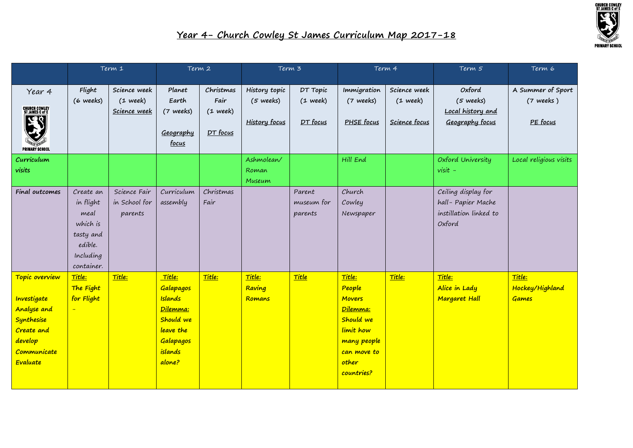

|                                         | Term 1     |               | Term 2            |            | Term 3               |            | Term 4        |               | Term 5                 | Term 6                 |
|-----------------------------------------|------------|---------------|-------------------|------------|----------------------|------------|---------------|---------------|------------------------|------------------------|
|                                         |            |               |                   |            |                      |            |               |               |                        |                        |
| Year 4                                  | Flight     | Science week  | Planet            | Christmas  | History topic        | DT Topic   | Immigration   | Science week  | Oxford                 | A Summer of Sport      |
|                                         | (6 weeks)  | $(1$ week)    | Earth             | Fair       | $(5 \text{ weeks})$  | $(1$ week) | (7 weeks)     | $(1$ week)    | $(5$ weeks)            | $(7$ weeks)            |
| CHURCH COWLEY<br><u>St James C of E</u> |            | Science week  | (7 weeks)         | $(1$ week) |                      |            |               |               | Local history and      |                        |
| 7E.                                     |            |               |                   |            | <b>History focus</b> | DT focus   | PHSE focus    | Science focus | Geography focus        | PE focus               |
|                                         |            |               | Geography         | DT focus   |                      |            |               |               |                        |                        |
| <b>PRIMARY SCHOOL</b>                   |            |               | focus             |            |                      |            |               |               |                        |                        |
| Curriculum                              |            |               |                   |            | Ashmolean/           |            | Hill End      |               | Oxford University      | Local religious visits |
| visits                                  |            |               |                   |            | Roman                |            |               |               | $visit -$              |                        |
|                                         |            |               |                   |            | Museum               |            |               |               |                        |                        |
| Final outcomes                          | Create an  | Science Fair  | Curriculum        | Christmas  |                      | Parent     | Church        |               | Ceiling display for    |                        |
|                                         | in flight  | in School for | assembly          | Fair       |                      | museum for | Cowley        |               | hall-Papier Mache      |                        |
|                                         | meal       | parents       |                   |            |                      | parents    | Newspaper     |               | instillation linked to |                        |
|                                         | which is   |               |                   |            |                      |            |               |               | Oxford                 |                        |
|                                         | tasty and  |               |                   |            |                      |            |               |               |                        |                        |
|                                         | edible.    |               |                   |            |                      |            |               |               |                        |                        |
|                                         | Including  |               |                   |            |                      |            |               |               |                        |                        |
|                                         | container. |               |                   |            |                      |            |               |               |                        |                        |
| Topic overview                          | Title:     | Title:        | Title:            | Title:     | Title:               | Title      | Title:        | Title:        | Title:                 | Title:                 |
|                                         | The Fight  |               | Galapagos         |            | Raving               |            | People        |               | Alice in Lady          | Hockey/Highland        |
| Investigate                             | for Flight |               | <b>Islands</b>    |            | Romans               |            | <b>Movers</b> |               | <b>Margaret Hall</b>   | <b>Games</b>           |
| <b>Analyse and</b>                      | $\equiv$   |               | Dilemma:          |            |                      |            | Dilemma:      |               |                        |                        |
| Synthesise                              |            |               | Should we         |            |                      |            | Should we     |               |                        |                        |
| Create and                              |            |               | leave the         |            |                      |            | limit how     |               |                        |                        |
| develop                                 |            |               | Galapagos         |            |                      |            | many people   |               |                        |                        |
| Communicate<br>Evaluate                 |            |               | islands<br>alone? |            |                      |            | can move to   |               |                        |                        |
|                                         |            |               |                   |            |                      |            | other         |               |                        |                        |
|                                         |            |               |                   |            |                      |            | countries?    |               |                        |                        |
|                                         |            |               |                   |            |                      |            |               |               |                        |                        |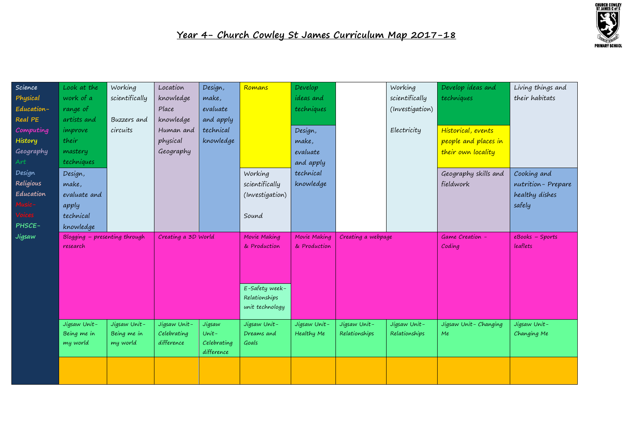

| Science<br>Physical<br>Education-<br>Real PE<br>Computing<br>History<br>Geography<br>Art<br>Design<br>Religious<br>Education | Look at the<br>work of a<br>range of<br>artists and<br>improve<br>their<br>mastery<br>techniques<br>Design,<br>make,<br>evaluate and<br>apply | Working<br>scientifically<br>Buzzers and<br>circuits | Location<br>knowledge<br>Place<br>knowledge<br>Human and<br>physical<br>Geography | Design,<br>make,<br>evaluate<br>and apply<br>technical<br>knowledge | Romans<br>Working<br>scientifically<br>(Investigation)                             | Develop<br><i>ideas</i> and<br>techniques<br>Design,<br>make,<br>evaluate<br>and apply<br>technical<br>knowledge |                               | Working<br>scientifically<br>(Investigation)<br>Electricity | Develop ideas and<br>techniques<br>Historical, events<br>people and places in<br>their own locality<br>Geography skills and<br>fieldwork | Living things and<br>their habitats<br>Cooking and<br>nutrition-Prepare<br>healthy dishes<br>safely |
|------------------------------------------------------------------------------------------------------------------------------|-----------------------------------------------------------------------------------------------------------------------------------------------|------------------------------------------------------|-----------------------------------------------------------------------------------|---------------------------------------------------------------------|------------------------------------------------------------------------------------|------------------------------------------------------------------------------------------------------------------|-------------------------------|-------------------------------------------------------------|------------------------------------------------------------------------------------------------------------------------------------------|-----------------------------------------------------------------------------------------------------|
| Voices<br>PHSCE-                                                                                                             | technical<br>knowledge                                                                                                                        |                                                      |                                                                                   |                                                                     | Sound                                                                              |                                                                                                                  |                               |                                                             |                                                                                                                                          |                                                                                                     |
| Jigsaw                                                                                                                       | Blogging - presenting through<br>research                                                                                                     |                                                      | Creating a 3D World                                                               |                                                                     | Movie Making<br>& Production<br>E-Safety week-<br>Relationships<br>unit technology | Movie Making<br>& Production                                                                                     | Creating a webpage            |                                                             | Game Creation -<br>Coding                                                                                                                | eBooks - Sports<br>leaflets                                                                         |
|                                                                                                                              | Jigsaw Unit-<br>Being me in<br>my world                                                                                                       | Jigsaw Unit-<br>Being me in<br>my world              | Jigsaw Unit-<br>Celebrating<br>difference                                         | Jigsaw<br>$Unit -$<br>Celebrating                                   | Jigsaw Unit-<br>Dreams and<br>Goals                                                | Jigsaw Unit-<br>Healthy Me                                                                                       | Jigsaw Unit-<br>Relationships | Jigsaw Unit-<br>Relationships                               | Jigsaw Unit-Changing<br>Me                                                                                                               | Jigsaw Unit-<br>Changing Me                                                                         |
|                                                                                                                              |                                                                                                                                               |                                                      |                                                                                   | difference                                                          |                                                                                    |                                                                                                                  |                               |                                                             |                                                                                                                                          |                                                                                                     |